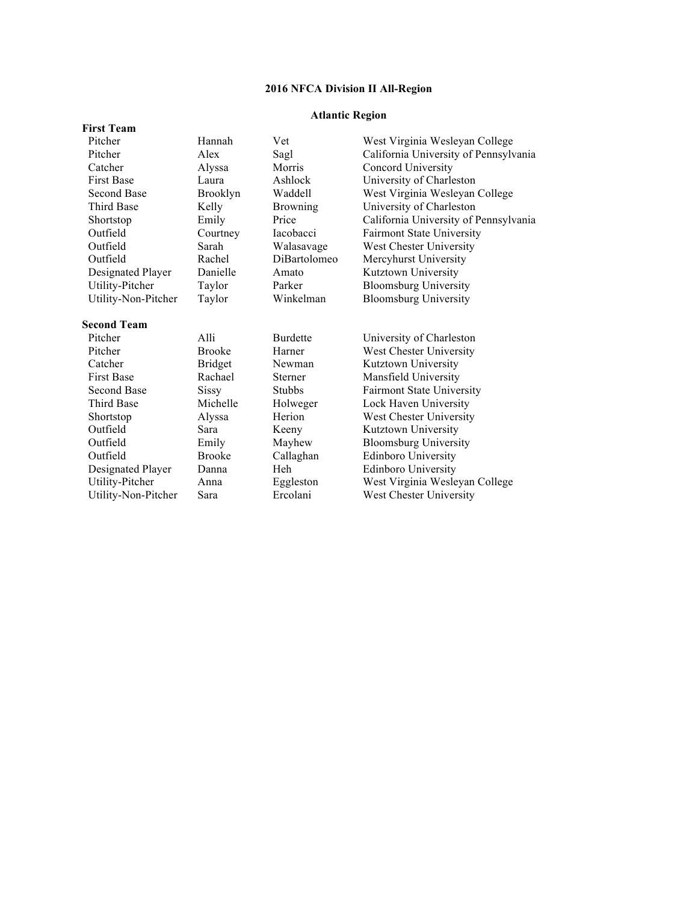# **Atlantic Region**

| <b>First Team</b>   |                |                 |                                       |
|---------------------|----------------|-----------------|---------------------------------------|
| Pitcher             | Hannah         | Vet             | West Virginia Wesleyan College        |
| Pitcher             | Alex           | Sagl            | California University of Pennsylvania |
| Catcher             | Alyssa         | Morris          | Concord University                    |
| <b>First Base</b>   | Laura          | Ashlock         | University of Charleston              |
| <b>Second Base</b>  | Brooklyn       | Waddell         | West Virginia Wesleyan College        |
| Third Base          | Kelly          | <b>Browning</b> | University of Charleston              |
| Shortstop           | Emily          | Price           | California University of Pennsylvania |
| Outfield            | Courtney       | Iacobacci       | <b>Fairmont State University</b>      |
| Outfield            | Sarah          | Walasavage      | West Chester University               |
| Outfield            | Rachel         | DiBartolomeo    | Mercyhurst University                 |
| Designated Player   | Danielle       | Amato           | Kutztown University                   |
| Utility-Pitcher     | Taylor         | Parker          | <b>Bloomsburg University</b>          |
| Utility-Non-Pitcher | Taylor         | Winkelman       | <b>Bloomsburg University</b>          |
| <b>Second Team</b>  |                |                 |                                       |
| Pitcher             | Alli           | <b>Burdette</b> | University of Charleston              |
| Pitcher             | <b>Brooke</b>  | Harner          | West Chester University               |
| Catcher             | <b>Bridget</b> | Newman          | Kutztown University                   |
| <b>First Base</b>   | Rachael        | Sterner         | Mansfield University                  |
| <b>Second Base</b>  | <b>Sissy</b>   | <b>Stubbs</b>   | <b>Fairmont State University</b>      |
| <b>Third Base</b>   | Michelle       | Holweger        | Lock Haven University                 |
| Shortstop           | Alyssa         | Herion          | West Chester University               |
| Outfield            | Sara           | Keeny           | Kutztown University                   |
| Outfield            | Emily          | Mayhew          | <b>Bloomsburg University</b>          |
| Outfield            | <b>Brooke</b>  | Callaghan       | <b>Edinboro University</b>            |
| Designated Player   | Danna          | Heh             | <b>Edinboro University</b>            |
| Utility-Pitcher     | Anna           | Eggleston       | West Virginia Wesleyan College        |
| Utility-Non-Pitcher | Sara           | Ercolani        | West Chester University               |
|                     |                |                 |                                       |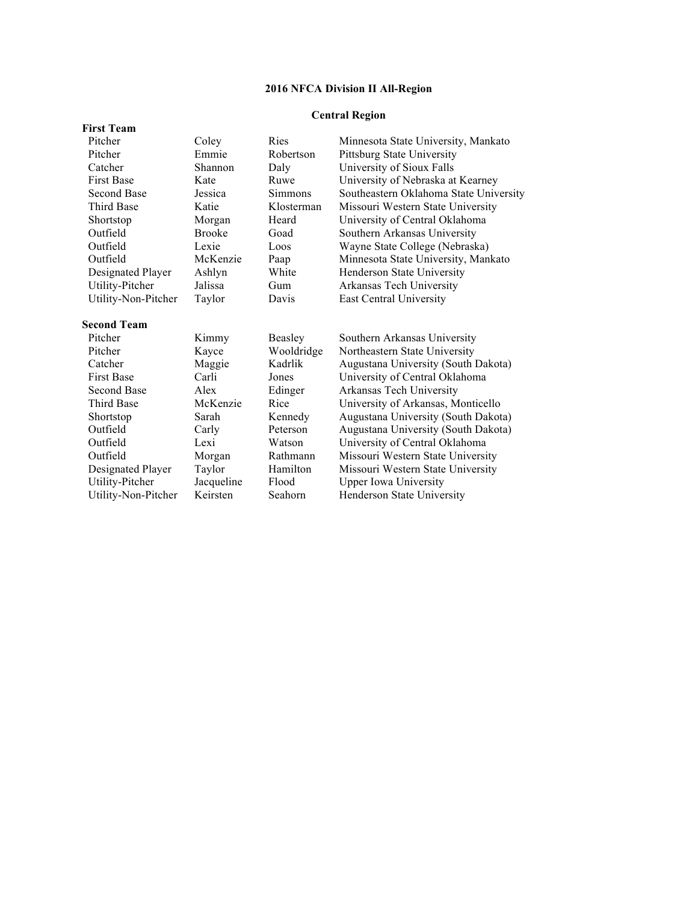# **Central Region**

| <b>First Team</b>   |               |            |                                        |
|---------------------|---------------|------------|----------------------------------------|
| Pitcher             | Coley         | Ries       | Minnesota State University, Mankato    |
| Pitcher             | Emmie         | Robertson  | Pittsburg State University             |
| Catcher             | Shannon       | Daly       | University of Sioux Falls              |
| <b>First Base</b>   | Kate          | Ruwe       | University of Nebraska at Kearney      |
| <b>Second Base</b>  | Jessica       | Simmons    | Southeastern Oklahoma State University |
| <b>Third Base</b>   | Katie         | Klosterman | Missouri Western State University      |
| Shortstop           | Morgan        | Heard      | University of Central Oklahoma         |
| Outfield            | <b>Brooke</b> | Goad       | Southern Arkansas University           |
| Outfield            | Lexie         | Loos       | Wayne State College (Nebraska)         |
| Outfield            | McKenzie      | Paap       | Minnesota State University, Mankato    |
| Designated Player   | Ashlyn        | White      | Henderson State University             |
| Utility-Pitcher     | Jalissa       | Gum        | Arkansas Tech University               |
| Utility-Non-Pitcher | Taylor        | Davis      | East Central University                |
| <b>Second Team</b>  |               |            |                                        |
| Pitcher             | Kimmy         | Beasley    | Southern Arkansas University           |
| Pitcher             | Kayce         | Wooldridge | Northeastern State University          |
| Catcher             | Maggie        | Kadrlik    | Augustana University (South Dakota)    |
| <b>First Base</b>   | Carli         | Jones      | University of Central Oklahoma         |
| <b>Second Base</b>  | Alex          | Edinger    | Arkansas Tech University               |
| <b>Third Base</b>   | McKenzie      | Rice       | University of Arkansas, Monticello     |
| Shortstop           | Sarah         | Kennedy    | Augustana University (South Dakota)    |
| Outfield            | Carly         | Peterson   | Augustana University (South Dakota)    |
| Outfield            | Lexi          | Watson     | University of Central Oklahoma         |
| Outfield            | Morgan        | Rathmann   | Missouri Western State University      |
| Designated Player   | Taylor        | Hamilton   | Missouri Western State University      |
| Utility-Pitcher     | Jacqueline    | Flood      | <b>Upper Iowa University</b>           |
| Utility-Non-Pitcher | Keirsten      | Seahorn    | Henderson State University             |
|                     |               |            |                                        |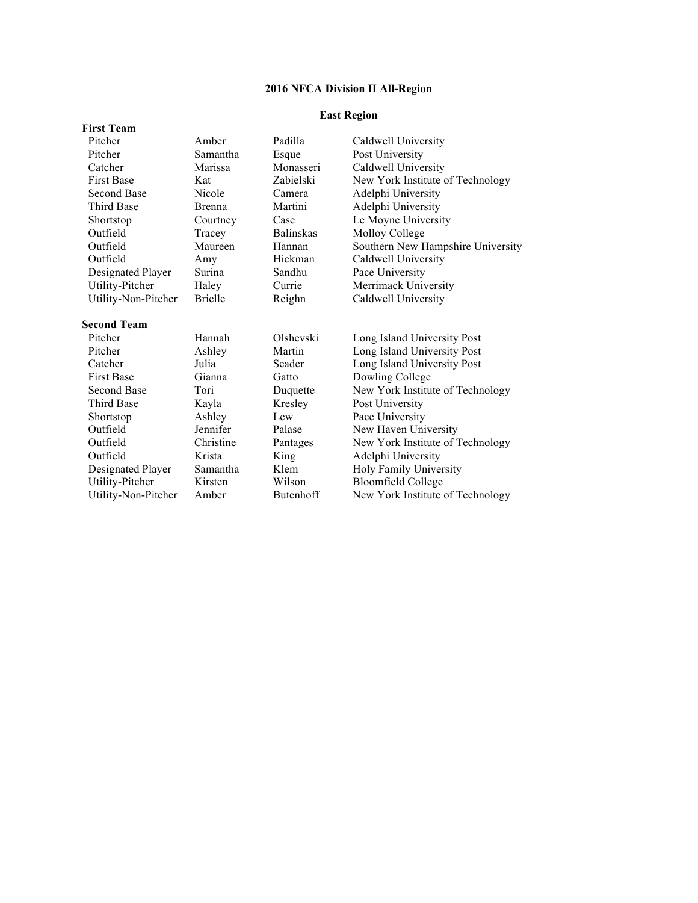## **East Region**

| <b>First Team</b>   |                |                  |                                   |
|---------------------|----------------|------------------|-----------------------------------|
| Pitcher             | Amber          | Padilla          | Caldwell University               |
| Pitcher             | Samantha       | Esque            | Post University                   |
| Catcher             | Marissa        | Monasseri        | Caldwell University               |
| <b>First Base</b>   | Kat            | Zabielski        | New York Institute of Technology  |
| Second Base         | Nicole         | Camera           | Adelphi University                |
| <b>Third Base</b>   | <b>Brenna</b>  | Martini          | Adelphi University                |
| Shortstop           | Courtney       | Case             | Le Moyne University               |
| Outfield            | Tracey         | <b>Balinskas</b> | Molloy College                    |
| Outfield            | Maureen        | Hannan           | Southern New Hampshire University |
| Outfield            | Amy            | Hickman          | Caldwell University               |
| Designated Player   | Surina         | Sandhu           | Pace University                   |
| Utility-Pitcher     | Haley          | Currie           | Merrimack University              |
| Utility-Non-Pitcher | <b>Brielle</b> | Reighn           | Caldwell University               |
| <b>Second Team</b>  |                |                  |                                   |
| Pitcher             | Hannah         | Olshevski        | Long Island University Post       |
| Pitcher             | Ashley         | Martin           | Long Island University Post       |
| Catcher             | Julia          | Seader           | Long Island University Post       |
| <b>First Base</b>   | Gianna         | Gatto            | Dowling College                   |
| Second Base         | Tori           | Duquette         | New York Institute of Technology  |
| <b>Third Base</b>   | Kayla          | Kresley          | Post University                   |
| Shortstop           | Ashley         | Lew              | Pace University                   |
| Outfield            | Jennifer       | Palase           | New Haven University              |
| Outfield            | Christine      | Pantages         | New York Institute of Technology  |
| Outfield            | Krista         | King             | Adelphi University                |
| Designated Player   | Samantha       | Klem             | Holy Family University            |
| Utility-Pitcher     | Kirsten        | Wilson           | <b>Bloomfield College</b>         |
| Utility-Non-Pitcher | Amber          | Butenhoff        | New York Institute of Technology  |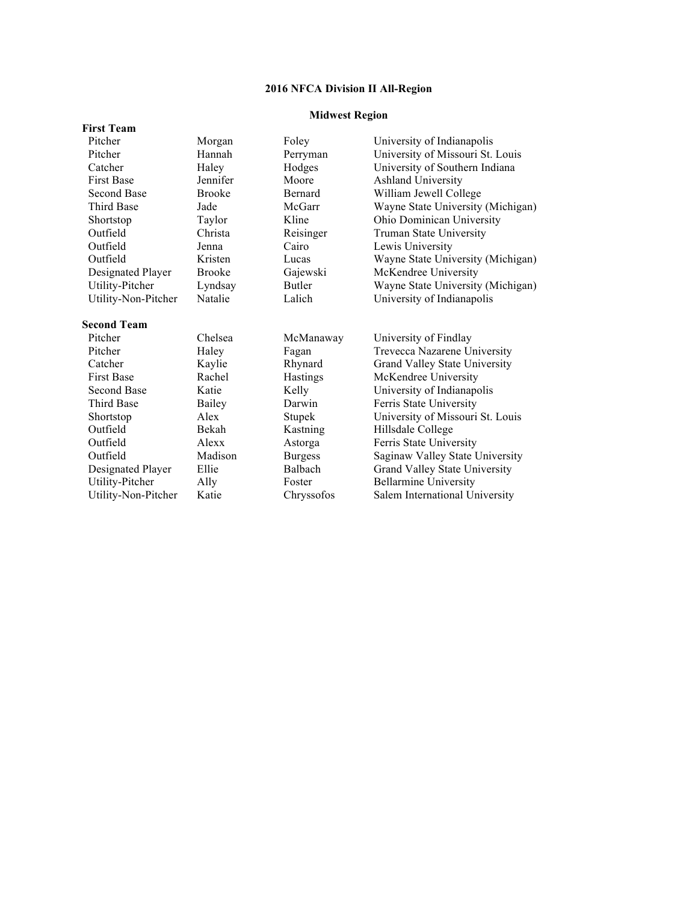## **Midwest Region**

| <b>First Team</b>   |               |                |                                   |
|---------------------|---------------|----------------|-----------------------------------|
| Pitcher             | Morgan        | Foley          | University of Indianapolis        |
| Pitcher             | Hannah        | Perryman       | University of Missouri St. Louis  |
| Catcher             | Haley         | Hodges         | University of Southern Indiana    |
| <b>First Base</b>   | Jennifer      | Moore          | Ashland University                |
| Second Base         | <b>Brooke</b> | Bernard        | William Jewell College            |
| <b>Third Base</b>   | Jade          | McGarr         | Wayne State University (Michigan) |
| Shortstop           | Taylor        | Kline          | Ohio Dominican University         |
| Outfield            | Christa       | Reisinger      | Truman State University           |
| Outfield            | Jenna         | Cairo          | Lewis University                  |
| Outfield            | Kristen       | Lucas          | Wayne State University (Michigan) |
| Designated Player   | <b>Brooke</b> | Gajewski       | McKendree University              |
| Utility-Pitcher     | Lyndsay       | <b>Butler</b>  | Wayne State University (Michigan) |
| Utility-Non-Pitcher | Natalie       | Lalich         | University of Indianapolis        |
| <b>Second Team</b>  |               |                |                                   |
| Pitcher             | Chelsea       | McManaway      | University of Findlay             |
| Pitcher             | Haley         | Fagan          | Trevecca Nazarene University      |
| Catcher             | Kaylie        | Rhynard        | Grand Valley State University     |
| <b>First Base</b>   | Rachel        | Hastings       | McKendree University              |
| <b>Second Base</b>  | Katie         | Kelly          | University of Indianapolis        |
| <b>Third Base</b>   | Bailey        | Darwin         | Ferris State University           |
| Shortstop           | Alex          | Stupek         | University of Missouri St. Louis  |
| Outfield            | Bekah         | Kastning       | Hillsdale College                 |
| Outfield            | Alexx         | Astorga        | Ferris State University           |
| Outfield            | Madison       | <b>Burgess</b> | Saginaw Valley State University   |
| Designated Player   | Ellie         | <b>Balbach</b> | Grand Valley State University     |
| Utility-Pitcher     | Ally          | Foster         | <b>Bellarmine University</b>      |
| Utility-Non-Pitcher | Katie         | Chryssofos     | Salem International University    |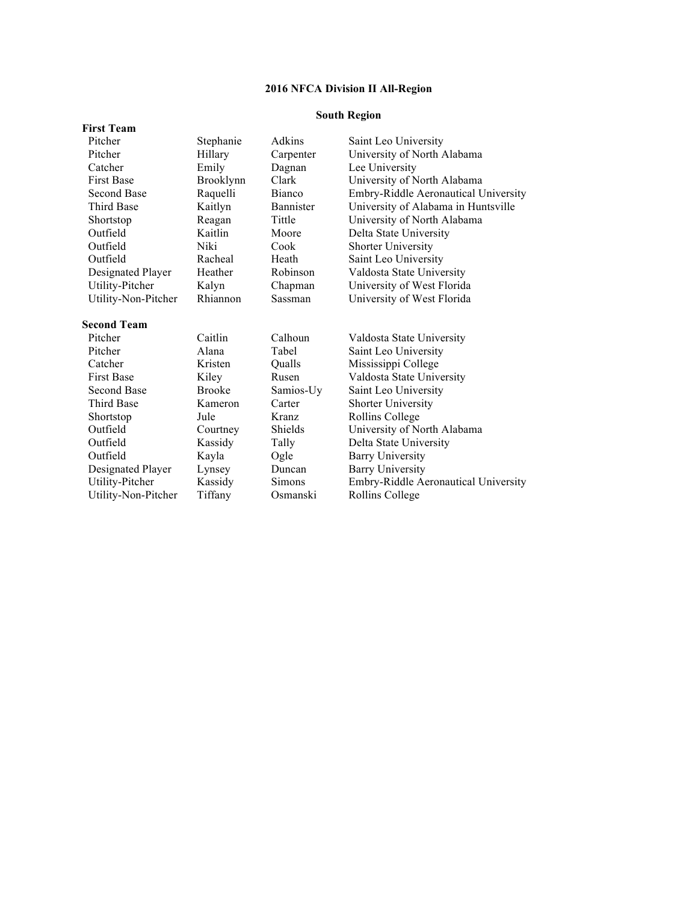# **South Region**

| Stephanie     | Adkins         | Saint Leo University                 |
|---------------|----------------|--------------------------------------|
| Hillary       | Carpenter      | University of North Alabama          |
| Emily         | Dagnan         | Lee University                       |
| Brooklynn     | Clark          | University of North Alabama          |
| Raquelli      | <b>Bianco</b>  | Embry-Riddle Aeronautical University |
| Kaitlyn       | Bannister      | University of Alabama in Huntsville  |
| Reagan        | Tittle         | University of North Alabama          |
| Kaitlin       | Moore          | Delta State University               |
| Niki          | Cook           | <b>Shorter University</b>            |
| Racheal       | Heath          | Saint Leo University                 |
| Heather       | Robinson       | Valdosta State University            |
| Kalyn         | Chapman        | University of West Florida           |
| Rhiannon      | Sassman        | University of West Florida           |
|               |                |                                      |
| Caitlin       | Calhoun        | Valdosta State University            |
| Alana         | Tabel          | Saint Leo University                 |
| Kristen       | Qualls         | Mississippi College                  |
| Kiley         | Rusen          | Valdosta State University            |
| <b>Brooke</b> | Samios-Uy      | Saint Leo University                 |
| Kameron       | Carter         | <b>Shorter University</b>            |
| Jule          | Kranz          | Rollins College                      |
| Courtney      | <b>Shields</b> | University of North Alabama          |
| Kassidy       | Tally          | Delta State University               |
| Kayla         | Ogle           | <b>Barry University</b>              |
| Lynsey        | Duncan         | <b>Barry University</b>              |
| Kassidy       | Simons         | Embry-Riddle Aeronautical University |
| Tiffany       | Osmanski       | Rollins College                      |
|               |                |                                      |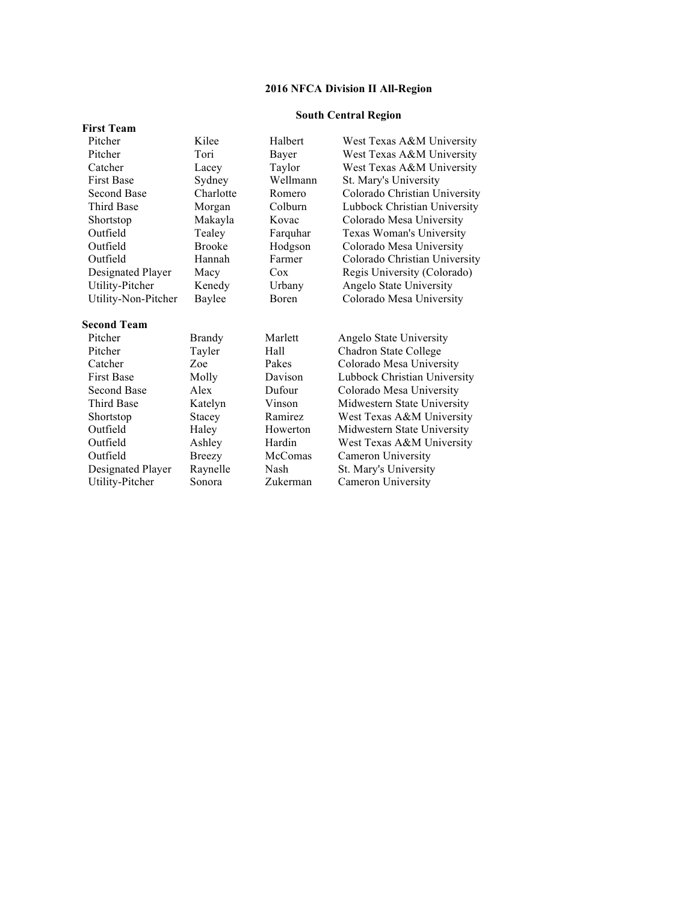# **South Central Region**

| <b>First Team</b>   |               |               |                               |
|---------------------|---------------|---------------|-------------------------------|
| Pitcher             | Kilee         | Halbert       | West Texas A&M University     |
| Pitcher             | Tori          | Bayer         | West Texas A&M University     |
| Catcher             | Lacey         | Taylor        | West Texas A&M University     |
| <b>First Base</b>   | Sydney        | Wellmann      | St. Mary's University         |
| <b>Second Base</b>  | Charlotte     | Romero        | Colorado Christian University |
| <b>Third Base</b>   | Morgan        | Colburn       | Lubbock Christian University  |
| Shortstop           | Makayla       | Kovac         | Colorado Mesa University      |
| Outfield            | Tealey        | Farquhar      | Texas Woman's University      |
| Outfield            | <b>Brooke</b> | Hodgson       | Colorado Mesa University      |
| Outfield            | Hannah        | Farmer        | Colorado Christian University |
| Designated Player   | Macy          | Cox           | Regis University (Colorado)   |
| Utility-Pitcher     | Kenedy        | Urbany        | Angelo State University       |
| Utility-Non-Pitcher | <b>Baylee</b> | <b>B</b> oren | Colorado Mesa University      |
| <b>Second Team</b>  |               |               |                               |
| Pitcher             | <b>Brandy</b> | Marlett       | Angelo State University       |
| Pitcher             | Tayler        | Hall          | Chadron State College         |
| Catcher             | Zoe           | Pakes         | Colorado Mesa University      |
| <b>First Base</b>   | Molly         | Davison       | Lubbock Christian University  |
| <b>Second Base</b>  | Alex          | Dufour        | Colorado Mesa University      |
| <b>Third Base</b>   | Katelyn       | Vinson        | Midwestern State University   |
| Shortstop           | Stacey        | Ramirez       | West Texas A&M University     |
| Outfield            | Haley         | Howerton      | Midwestern State University   |
| Outfield            | Ashley        | Hardin        | West Texas A&M University     |
| Outfield            | <b>Breezy</b> | McComas       | Cameron University            |
| Designated Player   | Raynelle      | Nash          | St. Mary's University         |
| Utility-Pitcher     | Sonora        | Zukerman      | Cameron University            |
|                     |               |               |                               |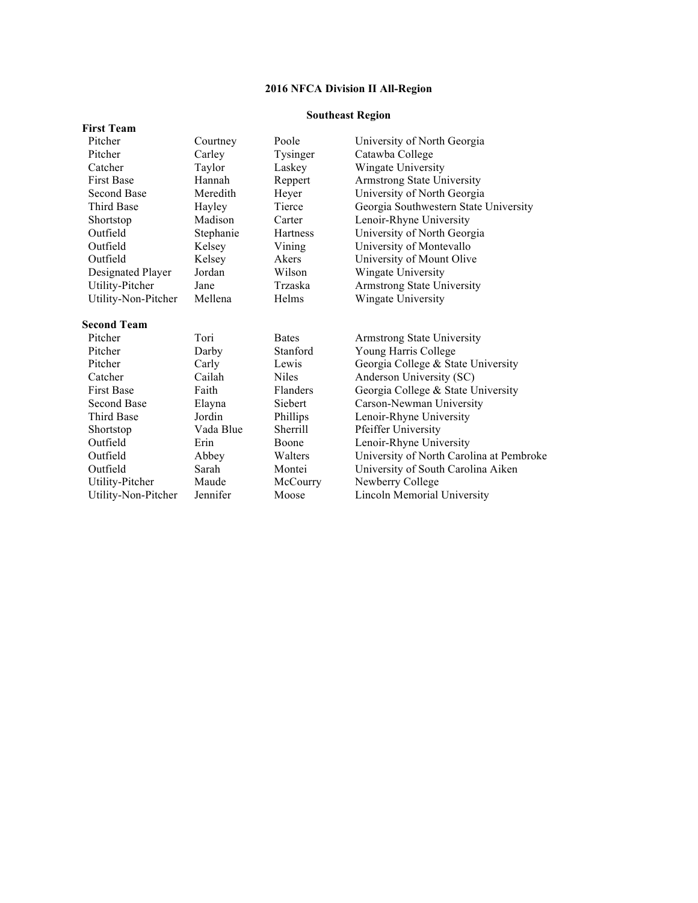# **Southeast Region**

| <b>First Team</b>   |           |                 |                                          |
|---------------------|-----------|-----------------|------------------------------------------|
| Pitcher             | Courtney  | Poole           | University of North Georgia              |
| Pitcher             | Carley    | Tysinger        | Catawba College                          |
| Catcher             | Taylor    | Laskey          | Wingate University                       |
| <b>First Base</b>   | Hannah    | Reppert         | <b>Armstrong State University</b>        |
| <b>Second Base</b>  | Meredith  | Heyer           | University of North Georgia              |
| <b>Third Base</b>   | Hayley    | Tierce          | Georgia Southwestern State University    |
| Shortstop           | Madison   | Carter          | Lenoir-Rhyne University                  |
| Outfield            | Stephanie | <b>Hartness</b> | University of North Georgia              |
| Outfield            | Kelsey    | Vining          | University of Montevallo                 |
| Outfield            | Kelsey    | Akers           | University of Mount Olive                |
| Designated Player   | Jordan    | Wilson          | Wingate University                       |
| Utility-Pitcher     | Jane      | Trzaska         | <b>Armstrong State University</b>        |
| Utility-Non-Pitcher | Mellena   | Helms           | Wingate University                       |
| <b>Second Team</b>  |           |                 |                                          |
| Pitcher             | Tori      | <b>Bates</b>    | <b>Armstrong State University</b>        |
| Pitcher             | Darby     | Stanford        | Young Harris College                     |
| Pitcher             | Carly     | Lewis           | Georgia College & State University       |
| Catcher             | Cailah    | <b>Niles</b>    | Anderson University (SC)                 |
| <b>First Base</b>   | Faith     | Flanders        | Georgia College & State University       |
| Second Base         | Elayna    | Siebert         | Carson-Newman University                 |
| <b>Third Base</b>   | Jordin    | Phillips        | Lenoir-Rhyne University                  |
| Shortstop           | Vada Blue | Sherrill        | Pfeiffer University                      |
| Outfield            | Erin      | Boone           | Lenoir-Rhyne University                  |
| Outfield            | Abbey     | Walters         | University of North Carolina at Pembroke |
| Outfield            | Sarah     | Montei          | University of South Carolina Aiken       |
| Utility-Pitcher     | Maude     | McCourry        | Newberry College                         |
| Utility-Non-Pitcher | Jennifer  | Moose           | Lincoln Memorial University              |